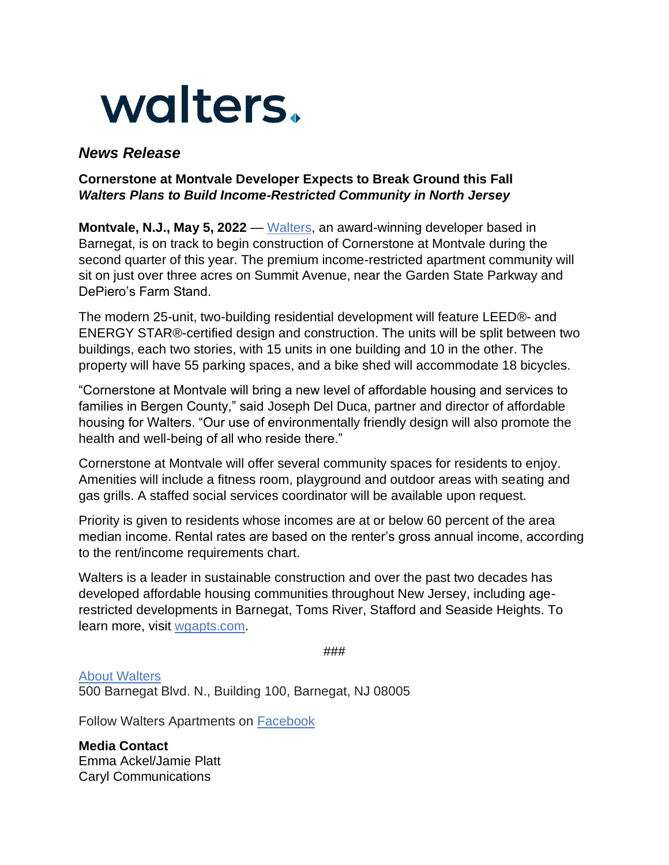

## *News Release*

## **Cornerstone at Montvale Developer Expects to Break Ground this Fall** *Walters Plans to Build Income-Restricted Community in North Jersey*

**Montvale, N.J., May 5, 2022** — [Walters,](https://www.waltersgroupapartments.com/) an award-winning developer based in Barnegat, is on track to begin construction of Cornerstone at Montvale during the second quarter of this year. The premium income-restricted apartment community will sit on just over three acres on Summit Avenue, near the Garden State Parkway and DePiero's Farm Stand.

The modern 25-unit, two-building residential development will feature LEED®- and ENERGY STAR®-certified design and construction. The units will be split between two buildings, each two stories, with 15 units in one building and 10 in the other. The property will have 55 parking spaces, and a bike shed will accommodate 18 bicycles.

"Cornerstone at Montvale will bring a new level of affordable housing and services to families in Bergen County," said Joseph Del Duca, partner and director of affordable housing for Walters. "Our use of environmentally friendly design will also promote the health and well-being of all who reside there."

Cornerstone at Montvale will offer several community spaces for residents to enjoy. Amenities will include a fitness room, playground and outdoor areas with seating and gas grills. A staffed social services coordinator will be available upon request.

Priority is given to residents whose incomes are at or below 60 percent of the area median income. Rental rates are based on the renter's gross annual income, according to the rent/income requirements chart.

Walters is a leader in sustainable construction and over the past two decades has developed affordable housing communities throughout New Jersey, including agerestricted developments in Barnegat, Toms River, Stafford and Seaside Heights. To learn more, visit [wgapts.com.](https://www.waltersgroupapartments.com/)

###

[About Walters](https://nam04.safelinks.protection.outlook.com/?url=https%3A%2F%2Fu7061146.ct.sendgrid.net%2Fls%2Fclick%3Fupn%3D4tNED-2FM8iDZJQyQ53jATUUfkYB-2BWMu6D6sBWUnB1mzqZDklr4g3AGfH2qT1B0kaPmbxzzU8-2FLpduUfXIBDjaArx7-2BmcMWuB6DDJAr2hkcCxbmUzOrDdrKn-2B8OZFYbSpFcyTRIFA99rWQM8mFXO-2FZFw-3D-3DXsSQ_FV2Fni7JXaGeCzKcVzFdTyCeguZe75-2FdOG4o6qhxYfVzLuOomUg4nPdF-2F-2F6dwqbTBdgsEpCsaeid4ZS8QddkHt8oUD-2Fq7TlI1dmrnAokQTGWsSaFDrevNxx1EhirTnug2WbQ2rq1SHC3EN5tVQZWfIjulO6z9AxQ72Q1uwiNvk9VoNfpRRBpTalzk4YWzVC4yAffhAC53fdGRqmeYk0Tb0IBXUxx4rO97K8gIE3GTinKx0UvxdXfV-2FAmEal-2BN7rmHvDMsXoFAzpDKQOd2DO-2FykjVZbAK91p1KIAYcSNQ6ANsnqepQLYOQAeU9rjsejRRuCwtCJTArOGb-2FvSJLCDLHLJFpOVXcHBpNzUYYYZJaWY-3D&data=04%7C01%7Ctwilliams%40francemediainc.com%7C8aee051aedf2494a5e4008d9c4cb889d%7Cbfbd94fde4cb49fba1c29dfbeef0188e%7C1%7C1%7C637757200726237964%7CUnknown%7CTWFpbGZsb3d8eyJWIjoiMC4wLjAwMDAiLCJQIjoiV2luMzIiLCJBTiI6Ik1haWwiLCJXVCI6Mn0%3D%7C3000&sdata=2c0DqbB04bxyi6%2BY3sy9bHSg7ev%2FhcIXy69tTz9iGnE%3D&reserved=0) 500 Barnegat Blvd. N., Building 100, Barnegat, NJ 08005

Follow Walters Apartments on [Facebook](https://nam04.safelinks.protection.outlook.com/?url=https%3A%2F%2Fu7061146.ct.sendgrid.net%2Fls%2Fclick%3Fupn%3D4tNED-2FM8iDZJQyQ53jATUb8Hzhz9hTfMErRs-2Fni8h9hfaNFM5n8Ni8T76n4-2BHmJvWF4NQaABSG3twwBRpnWizQ-3D-3DbPOL_FV2Fni7JXaGeCzKcVzFdTyCeguZe75-2FdOG4o6qhxYfVzLuOomUg4nPdF-2F-2F6dwqbTBdgsEpCsaeid4ZS8QddkHt8oUD-2Fq7TlI1dmrnAokQTGWsSaFDrevNxx1EhirTnug2WbQ2rq1SHC3EN5tVQZWfIjulO6z9AxQ72Q1uwiNvk9VoNfpRRBpTalzk4YWzVC4yAffhAC53fdGRqmeYk0Tb3OszQujISG7HtaCk8nxxaBcDfd1lH412kvPKvuctX-2B7uKCi0BCI1XvlSKszhL8oXR04kit5MnBeo29ktxmMvLjl2TstB1qWyieQnNApSlu3GzUoPFee74410sJ-2Fs-2F9j0Rj1-2BcYmekkbz-2BSVpuZwaAw-3D&data=04%7C01%7Ctwilliams%40francemediainc.com%7C8aee051aedf2494a5e4008d9c4cb889d%7Cbfbd94fde4cb49fba1c29dfbeef0188e%7C1%7C1%7C637757200726237964%7CUnknown%7CTWFpbGZsb3d8eyJWIjoiMC4wLjAwMDAiLCJQIjoiV2luMzIiLCJBTiI6Ik1haWwiLCJXVCI6Mn0%3D%7C3000&sdata=6K5v%2FS4zzaXnysBK6WzYWJHOK1clsbqcct2zBjvXqcE%3D&reserved=0)

**Media Contact** Emma Ackel/Jamie Platt Caryl Communications